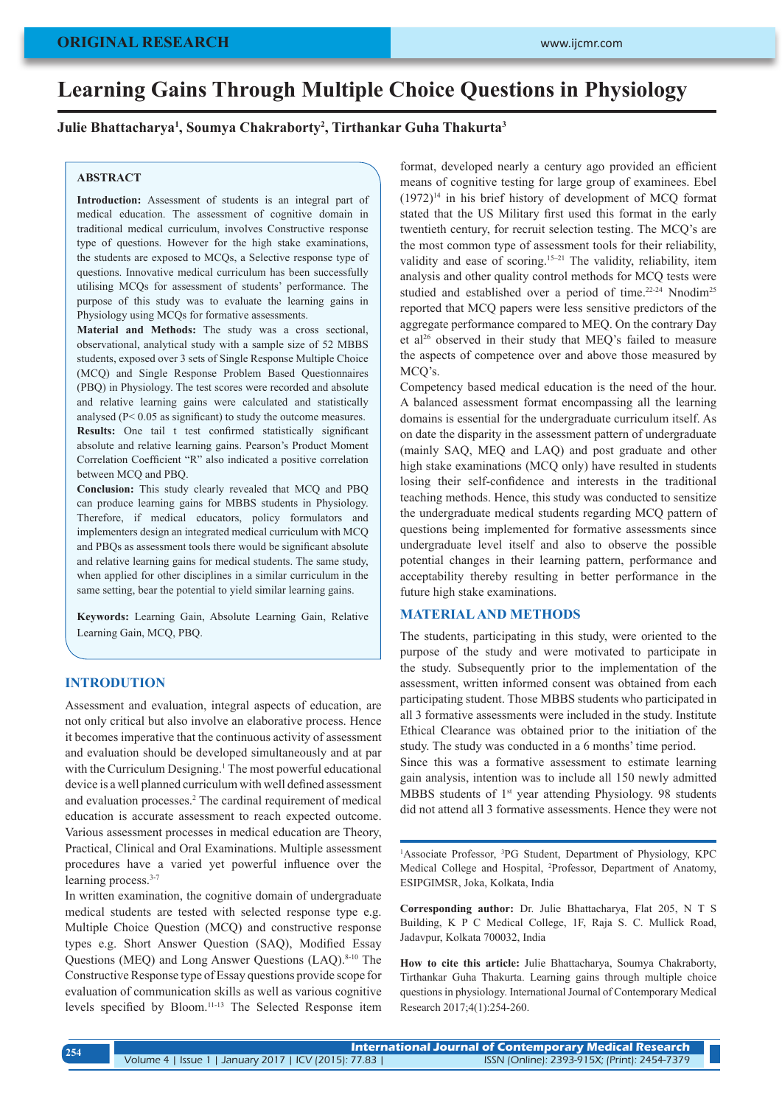#### **ORIGINAL RESEARCH**

# **Learning Gains Through Multiple Choice Questions in Physiology**

**Julie Bhattacharya1 , Soumya Chakraborty2 , Tirthankar Guha Thakurta3**

## **ABSTRACT**

**Introduction:** Assessment of students is an integral part of medical education. The assessment of cognitive domain in traditional medical curriculum, involves Constructive response type of questions. However for the high stake examinations, the students are exposed to MCQs, a Selective response type of questions. Innovative medical curriculum has been successfully utilising MCQs for assessment of students' performance. The purpose of this study was to evaluate the learning gains in Physiology using MCQs for formative assessments.

**Material and Methods:** The study was a cross sectional, observational, analytical study with a sample size of 52 MBBS students, exposed over 3 sets of Single Response Multiple Choice (MCQ) and Single Response Problem Based Questionnaires (PBQ) in Physiology. The test scores were recorded and absolute and relative learning gains were calculated and statistically analysed (P< 0.05 as significant) to study the outcome measures. **Results:** One tail t test confirmed statistically significant absolute and relative learning gains. Pearson's Product Moment Correlation Coefficient "R" also indicated a positive correlation between MCQ and PBQ.

**Conclusion:** This study clearly revealed that MCQ and PBQ can produce learning gains for MBBS students in Physiology. Therefore, if medical educators, policy formulators and implementers design an integrated medical curriculum with MCQ and PBQs as assessment tools there would be significant absolute and relative learning gains for medical students. The same study, when applied for other disciplines in a similar curriculum in the same setting, bear the potential to yield similar learning gains.

**Keywords:** Learning Gain, Absolute Learning Gain, Relative Learning Gain, MCQ, PBQ.

## **INTRODUTION**

Assessment and evaluation, integral aspects of education, are not only critical but also involve an elaborative process. Hence it becomes imperative that the continuous activity of assessment and evaluation should be developed simultaneously and at par with the Curriculum Designing.<sup>1</sup> The most powerful educational device is a well planned curriculum with well defined assessment and evaluation processes.<sup>2</sup> The cardinal requirement of medical education is accurate assessment to reach expected outcome. Various assessment processes in medical education are Theory, Practical, Clinical and Oral Examinations. Multiple assessment procedures have a varied yet powerful influence over the learning process.<sup>3-7</sup>

In written examination, the cognitive domain of undergraduate medical students are tested with selected response type e.g. Multiple Choice Question (MCQ) and constructive response types e.g. Short Answer Question (SAQ), Modified Essay Questions (MEQ) and Long Answer Questions (LAQ).<sup>8-10</sup> The Constructive Response type of Essay questions provide scope for evaluation of communication skills as well as various cognitive levels specified by Bloom.11-13 The Selected Response item

format, developed nearly a century ago provided an efficient means of cognitive testing for large group of examinees. Ebel (1972)14 in his brief history of development of MCQ format stated that the US Military first used this format in the early twentieth century, for recruit selection testing. The MCQ's are the most common type of assessment tools for their reliability, validity and ease of scoring.<sup>15-21</sup> The validity, reliability, item analysis and other quality control methods for MCQ tests were studied and established over a period of time.<sup>22-24</sup> Nnodim<sup>25</sup> reported that MCQ papers were less sensitive predictors of the aggregate performance compared to MEQ. On the contrary Day et al26 observed in their study that MEQ's failed to measure the aspects of competence over and above those measured by MCQ's.

Competency based medical education is the need of the hour. A balanced assessment format encompassing all the learning domains is essential for the undergraduate curriculum itself. As on date the disparity in the assessment pattern of undergraduate (mainly SAQ, MEQ and LAQ) and post graduate and other high stake examinations (MCQ only) have resulted in students losing their self-confidence and interests in the traditional teaching methods. Hence, this study was conducted to sensitize the undergraduate medical students regarding MCQ pattern of questions being implemented for formative assessments since undergraduate level itself and also to observe the possible potential changes in their learning pattern, performance and acceptability thereby resulting in better performance in the future high stake examinations.

#### **MATERIAL AND METHODS**

The students, participating in this study, were oriented to the purpose of the study and were motivated to participate in the study. Subsequently prior to the implementation of the assessment, written informed consent was obtained from each participating student. Those MBBS students who participated in all 3 formative assessments were included in the study. Institute Ethical Clearance was obtained prior to the initiation of the study. The study was conducted in a 6 months' time period.

Since this was a formative assessment to estimate learning gain analysis, intention was to include all 150 newly admitted MBBS students of 1<sup>st</sup> year attending Physiology. 98 students did not attend all 3 formative assessments. Hence they were not

<sup>1</sup>Associate Professor, <sup>3</sup>PG Student, Department of Physiology, KPC Medical College and Hospital, 2 Professor, Department of Anatomy, ESIPGIMSR, Joka, Kolkata, India

**Corresponding author:** Dr. Julie Bhattacharya, Flat 205, N T S Building, K P C Medical College, 1F, Raja S. C. Mullick Road, Jadavpur, Kolkata 700032, India

**How to cite this article:** Julie Bhattacharya, Soumya Chakraborty, Tirthankar Guha Thakurta. Learning gains through multiple choice questions in physiology. International Journal of Contemporary Medical Research 2017;4(1):254-260.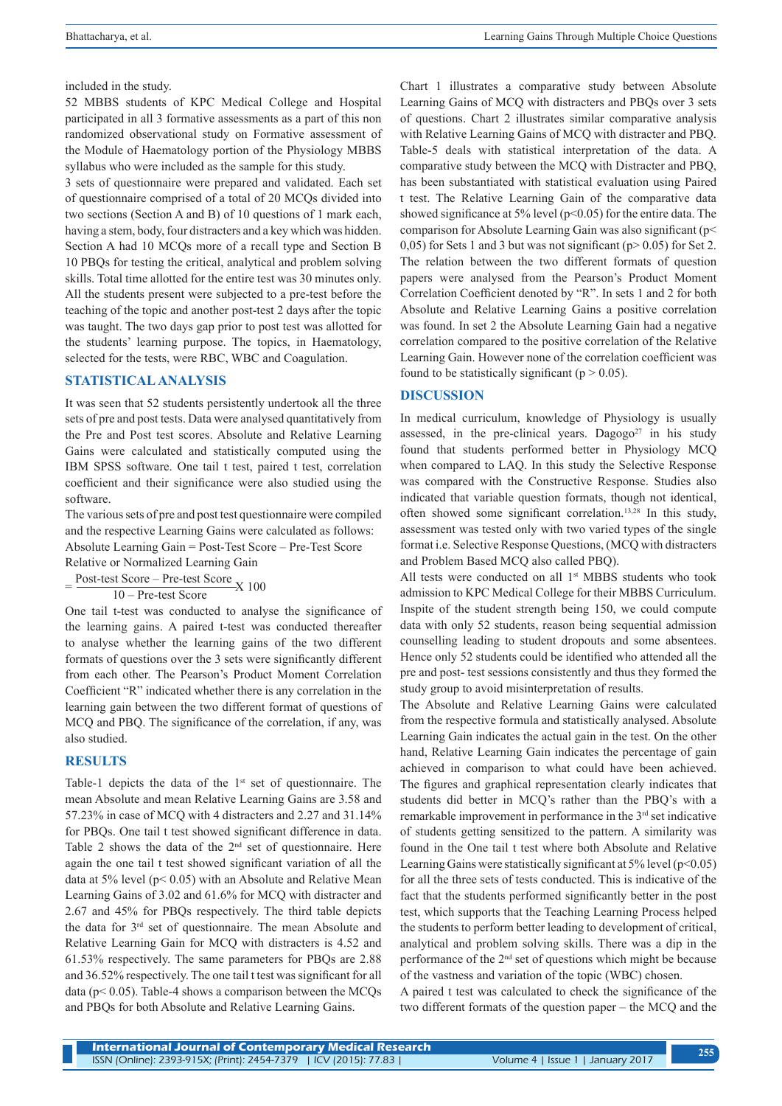included in the study.

52 MBBS students of KPC Medical College and Hospital participated in all 3 formative assessments as a part of this non randomized observational study on Formative assessment of the Module of Haematology portion of the Physiology MBBS syllabus who were included as the sample for this study.

3 sets of questionnaire were prepared and validated. Each set of questionnaire comprised of a total of 20 MCQs divided into two sections (Section A and B) of 10 questions of 1 mark each, having a stem, body, four distracters and a key which was hidden. Section A had 10 MCQs more of a recall type and Section B 10 PBQs for testing the critical, analytical and problem solving skills. Total time allotted for the entire test was 30 minutes only. All the students present were subjected to a pre-test before the teaching of the topic and another post-test 2 days after the topic was taught. The two days gap prior to post test was allotted for the students' learning purpose. The topics, in Haematology, selected for the tests, were RBC, WBC and Coagulation.

# **STATISTICAL ANALYSIS**

It was seen that 52 students persistently undertook all the three sets of pre and post tests. Data were analysed quantitatively from the Pre and Post test scores. Absolute and Relative Learning Gains were calculated and statistically computed using the IBM SPSS software. One tail t test, paired t test, correlation coefficient and their significance were also studied using the software.

The various sets of pre and post test questionnaire were compiled and the respective Learning Gains were calculated as follows: Absolute Learning Gain = Post-Test Score – Pre-Test Score Relative or Normalized Learning Gain

=  $\frac{\text{Post-test Score} - \text{Pre-test Score}}{10 - \text{Pre-test Score}}$ X 100

One tail t-test was conducted to analyse the significance of the learning gains. A paired t-test was conducted thereafter to analyse whether the learning gains of the two different formats of questions over the 3 sets were significantly different from each other. The Pearson's Product Moment Correlation Coefficient "R" indicated whether there is any correlation in the learning gain between the two different format of questions of MCQ and PBQ. The significance of the correlation, if any, was also studied.

# **RESULTS**

Table-1 depicts the data of the 1<sup>st</sup> set of questionnaire. The mean Absolute and mean Relative Learning Gains are 3.58 and 57.23% in case of MCQ with 4 distracters and 2.27 and 31.14% for PBQs. One tail t test showed significant difference in data. Table 2 shows the data of the 2nd set of questionnaire. Here again the one tail t test showed significant variation of all the data at 5% level ( $p$ < 0.05) with an Absolute and Relative Mean Learning Gains of 3.02 and 61.6% for MCQ with distracter and 2.67 and 45% for PBQs respectively. The third table depicts the data for 3rd set of questionnaire. The mean Absolute and Relative Learning Gain for MCQ with distracters is 4.52 and 61.53% respectively. The same parameters for PBQs are 2.88 and 36.52% respectively. The one tail t test was significant for all data ( $p$ < 0.05). Table-4 shows a comparison between the MCQs and PBQs for both Absolute and Relative Learning Gains.

Chart 1 illustrates a comparative study between Absolute Learning Gains of MCQ with distracters and PBQs over 3 sets of questions. Chart 2 illustrates similar comparative analysis with Relative Learning Gains of MCQ with distracter and PBQ. Table-5 deals with statistical interpretation of the data. A comparative study between the MCQ with Distracter and PBQ, has been substantiated with statistical evaluation using Paired t test. The Relative Learning Gain of the comparative data showed significance at 5% level (p<0.05) for the entire data. The comparison for Absolute Learning Gain was also significant (p< 0,05) for Sets 1 and 3 but was not significant ( $p > 0.05$ ) for Set 2. The relation between the two different formats of question papers were analysed from the Pearson's Product Moment Correlation Coefficient denoted by "R". In sets 1 and 2 for both Absolute and Relative Learning Gains a positive correlation was found. In set 2 the Absolute Learning Gain had a negative correlation compared to the positive correlation of the Relative Learning Gain. However none of the correlation coefficient was found to be statistically significant ( $p > 0.05$ ).

## **DISCUSSION**

In medical curriculum, knowledge of Physiology is usually assessed, in the pre-clinical years. Dagogo<sup>27</sup> in his study found that students performed better in Physiology MCQ when compared to LAQ. In this study the Selective Response was compared with the Constructive Response. Studies also indicated that variable question formats, though not identical, often showed some significant correlation.13,28 In this study, assessment was tested only with two varied types of the single format i.e. Selective Response Questions, (MCQ with distracters and Problem Based MCQ also called PBQ).

All tests were conducted on all 1st MBBS students who took admission to KPC Medical College for their MBBS Curriculum. Inspite of the student strength being 150, we could compute data with only 52 students, reason being sequential admission counselling leading to student dropouts and some absentees. Hence only 52 students could be identified who attended all the pre and post- test sessions consistently and thus they formed the study group to avoid misinterpretation of results.

The Absolute and Relative Learning Gains were calculated from the respective formula and statistically analysed. Absolute Learning Gain indicates the actual gain in the test. On the other hand, Relative Learning Gain indicates the percentage of gain achieved in comparison to what could have been achieved. The figures and graphical representation clearly indicates that students did better in MCQ's rather than the PBQ's with a remarkable improvement in performance in the 3rd set indicative of students getting sensitized to the pattern. A similarity was found in the One tail t test where both Absolute and Relative Learning Gains were statistically significant at  $5\%$  level (p<0.05) for all the three sets of tests conducted. This is indicative of the fact that the students performed significantly better in the post test, which supports that the Teaching Learning Process helped the students to perform better leading to development of critical, analytical and problem solving skills. There was a dip in the performance of the 2nd set of questions which might be because of the vastness and variation of the topic (WBC) chosen.

A paired t test was calculated to check the significance of the two different formats of the question paper – the MCQ and the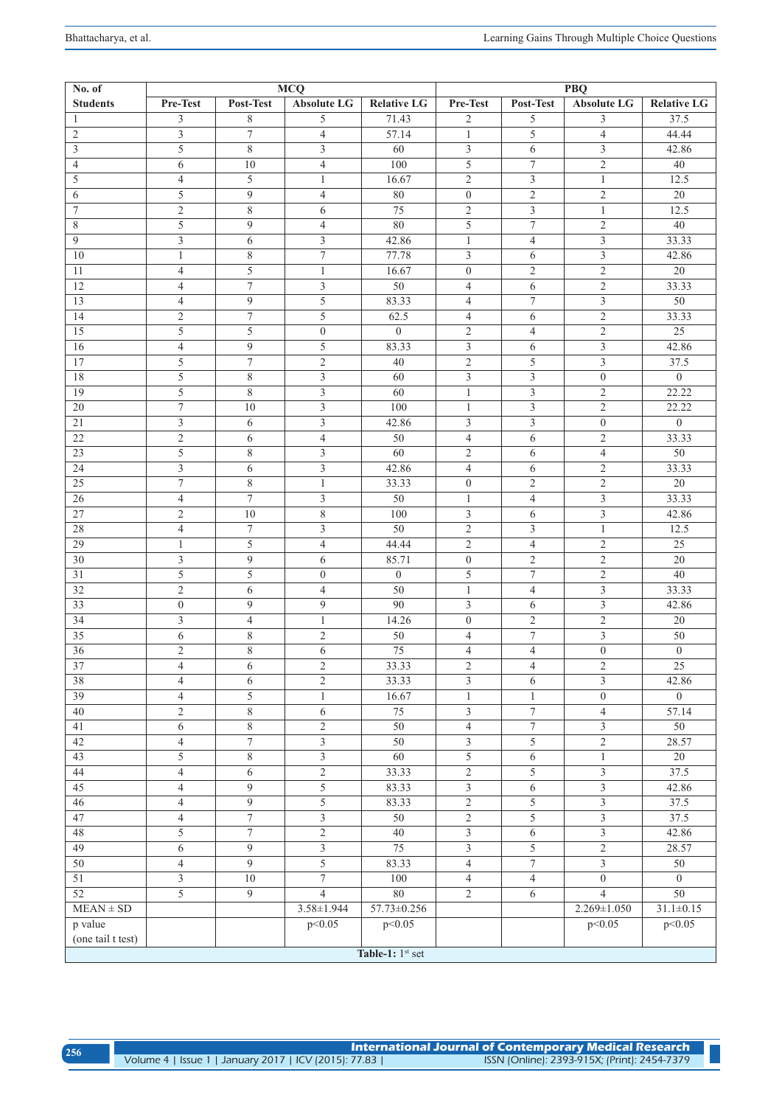| <b>MCQ</b><br>No. of |                  |                |                         | <b>PBQ</b>         |                         |                  |                         |                    |
|----------------------|------------------|----------------|-------------------------|--------------------|-------------------------|------------------|-------------------------|--------------------|
| <b>Students</b>      | Pre-Test         | Post-Test      | <b>Absolute LG</b>      | <b>Relative LG</b> | Pre-Test                | Post-Test        | Absolute LG             | <b>Relative LG</b> |
| 1                    | 3                | 8              | 5                       | 71.43              | $\overline{c}$          | 5                | 3                       | 37.5               |
| 2                    | 3                | $\tau$         | $\overline{4}$          | 57.14              | $\mathbf{1}$            | 5                | $\overline{4}$          | 44.44              |
| 3                    | 5                | 8              | 3                       | 60                 | $\mathfrak{Z}$          | 6                | $\overline{3}$          | 42.86              |
| $\overline{4}$       | 6                | 10             | $\overline{4}$          | 100                | $\overline{5}$          | $\boldsymbol{7}$ | $\overline{2}$          | 40                 |
| 5                    | $\overline{4}$   | 5              | $\mathbf{1}$            | 16.67              | $\mathfrak{2}$          | $\overline{3}$   | $\mathbf{1}$            | 12.5               |
| 6                    | 5                | 9              | $\overline{4}$          | 80                 | $\boldsymbol{0}$        | $\overline{2}$   | $\overline{c}$          | 20                 |
| $\tau$               | $\mathfrak{2}$   | 8              | 6                       | 75                 | $\mathfrak{2}$          | 3                | $\mathbf{1}$            | 12.5               |
| 8                    | 5                | 9              | $\overline{4}$          | 80                 | 5                       | $\boldsymbol{7}$ | $\mathbf{2}$            | 40                 |
| 9                    | 3                | 6              | 3                       | 42.86              | $\mathbf{1}$            | $\overline{4}$   | $\overline{3}$          | 33.33              |
| 10                   | $\mathbf{1}$     | 8              | $\tau$                  | 77.78              | $\overline{3}$          | 6                | $\overline{3}$          | 42.86              |
| 11                   | $\overline{4}$   | 5              | $\mathbf{1}$            | 16.67              | $\boldsymbol{0}$        | $\overline{2}$   | $\overline{2}$          | 20                 |
| 12                   | $\overline{4}$   | $\overline{7}$ | 3                       | 50                 | $\overline{4}$          | 6                | $\overline{2}$          | 33.33              |
| 13                   | $\overline{4}$   | 9              | 5                       | 83.33              | $\overline{4}$          | $\tau$           | $\mathfrak{Z}$          | 50                 |
| 14                   | $\overline{2}$   | $\tau$         | 5                       | 62.5               | $\overline{4}$          | 6                | $\overline{2}$          | 33.33              |
| 15                   | 5                | 5              | $\overline{0}$          | $\overline{0}$     | $\mathfrak{2}$          | $\overline{4}$   | $\overline{2}$          | 25                 |
| 16                   | $\overline{4}$   | 9              | 5                       | 83.33              | $\mathfrak{Z}$          | 6                | $\overline{3}$          | 42.86              |
| 17                   | 5                | $\tau$         | $\overline{c}$          | 40                 | $\overline{2}$          | 5                | $\overline{\mathbf{3}}$ | 37.5               |
| 18                   | 5                | $8\,$          | $\overline{\mathbf{3}}$ | 60                 | $\overline{\mathbf{3}}$ | $\mathfrak{Z}$   | $\boldsymbol{0}$        | $\overline{0}$     |
|                      |                  |                |                         |                    |                         |                  |                         |                    |
| 19                   | 5                | 8              | 3                       | 60                 | $\mathbf{1}$            | $\mathfrak{Z}$   | $\overline{c}$          | 22.22              |
| 20                   | $\tau$           | 10             | 3                       | 100                | $\mathbf{1}$            | $\mathfrak{Z}$   | $\mathbf{2}$            | 22.22              |
| 21                   | 3                | 6              | 3                       | 42.86              | 3                       | 3                | $\overline{0}$          | $\overline{0}$     |
| 22                   | $\mathfrak{2}$   | 6              | $\overline{4}$          | 50                 | $\overline{4}$          | 6                | $\mathfrak{2}$          | 33.33              |
| 23                   | 5                | 8              | 3                       | 60                 | $\mathfrak{2}$          | 6                | $\overline{4}$          | 50                 |
| 24                   | 3                | 6              | 3                       | 42.86              | $\overline{4}$          | 6                | $\mathfrak{2}$          | 33.33              |
| 25                   | $\tau$           | 8              | $\mathbf{1}$            | 33.33              | $\boldsymbol{0}$        | $\overline{2}$   | $\mathbf{2}$            | 20                 |
| 26                   | $\overline{4}$   | $\overline{7}$ | 3                       | 50                 | $\mathbf{1}$            | $\overline{4}$   | $\overline{3}$          | 33.33              |
| 27                   | $\mathfrak{2}$   | 10             | 8                       | 100                | $\mathfrak{Z}$          | 6                | $\overline{3}$          | 42.86              |
| 28                   | $\overline{4}$   | $\tau$         | 3                       | 50                 | $\mathfrak{2}$          | 3                | $\mathbf{1}$            | 12.5               |
| 29                   | $\mathbf{1}$     | 5              | $\overline{4}$          | 44.44              | $\sqrt{2}$              | $\overline{4}$   | $\overline{2}$          | 25                 |
| 30                   | 3                | 9              | 6                       | 85.71              | $\boldsymbol{0}$        | $\overline{2}$   | $\mathbf{2}$            | 20                 |
| 31                   | 5                | 5              | $\boldsymbol{0}$        | $\mathbf{0}$       | $\sqrt{5}$              | $\tau$           | $\mathfrak{2}$          | 40                 |
| 32                   | $\mathfrak{2}$   | 6              | $\overline{4}$          | 50                 | $\mathbf{1}$            | $\overline{4}$   | $\overline{3}$          | 33.33              |
| 33                   | $\boldsymbol{0}$ | 9              | 9                       | 90                 | $\overline{3}$          | 6                | 3                       | 42.86              |
| 34                   | 3                | $\overline{4}$ | $\mathbf{1}$            | 14.26              | $\boldsymbol{0}$        | $\mathfrak{2}$   | $\mathbf{2}$            | 20                 |
| 35                   | 6                | 8              | $\overline{2}$          | 50                 | $\overline{4}$          | $\tau$           | 3                       | 50                 |
| 36                   | 2                | 8              | 6                       | 75                 | $\overline{4}$          | $\overline{4}$   | $\overline{0}$          | $\overline{0}$     |
| 37                   | $\overline{4}$   | 6              | $\overline{c}$          | 33.33              | $\overline{c}$          | $\overline{4}$   | $\mathbf{2}$            | $\overline{25}$    |
| 38                   | $\overline{4}$   | 6              | $\overline{c}$          | 33.33              | 3                       | 6                | $\mathfrak{Z}$          | 42.86              |
| 39                   | $\overline{4}$   | 5              | $\mathbf{1}$            | 16.67              | $\mathbf{1}$            | $\mathbf{1}$     | $\theta$                | $\Omega$           |
| 40                   | $\overline{2}$   | 8              | 6                       | 75                 | $\mathfrak{Z}$          | $\tau$           | $\overline{4}$          | 57.14              |
| 41                   | 6                | 8              | $\overline{2}$          | $\overline{50}$    | $\overline{4}$          | $\overline{7}$   | $\overline{3}$          | 50                 |
| 42                   | 4                | $\tau$         | 3                       | 50                 | $\mathfrak{Z}$          | 5                | $\overline{2}$          | 28.57              |
| 43                   | 5                | 8              | $\mathfrak{Z}$          | 60                 | $\overline{5}$          |                  |                         | 20                 |
|                      |                  |                |                         |                    |                         | 6                | $\mathbf{1}$            |                    |
| 44                   | $\overline{4}$   | 6              | $\overline{2}$          | 33.33              | $\overline{2}$          | 5                | $\overline{3}$          | 37.5               |
| 45                   | $\overline{4}$   | $\overline{9}$ | $\overline{5}$          | 83.33              | $\overline{\mathbf{3}}$ | 6                | $\mathfrak{Z}$          | 42.86              |
| $\overline{46}$      | $\overline{4}$   | $\overline{9}$ | $\overline{5}$          | 83.33              | $\overline{2}$          | $\overline{5}$   | $\overline{3}$          | 37.5               |
| 47                   | $\overline{4}$   | $\overline{7}$ | $\overline{3}$          | 50                 | $\overline{2}$          | $\overline{5}$   | $\overline{3}$          | 37.5               |
| 48                   | 5                | $\overline{7}$ | $\overline{2}$          | 40                 | $\mathfrak{Z}$          | 6                | $\overline{3}$          | 42.86              |
| 49                   | 6                | 9              | $\overline{3}$          | 75                 | $\overline{3}$          | $\overline{5}$   | $\overline{2}$          | 28.57              |
| 50                   | $\overline{4}$   | 9              | $\overline{5}$          | 83.33              | $\overline{4}$          | $\overline{7}$   | $\overline{\mathbf{3}}$ | 50                 |
| 51                   | $\overline{3}$   | $10\,$         | $\overline{7}$          | 100                | $\overline{4}$          | $\overline{4}$   | $\overline{0}$          | $\overline{0}$     |
| 52                   | 5                | 9              | $\overline{4}$          | 80                 | $\overline{2}$          | 6                | $\overline{4}$          | 50                 |
| $MEAN \pm SD$        |                  |                | $3.58 \pm 1.944$        | $57.73 \pm 0.256$  |                         |                  | $2.269 \pm 1.050$       | $31.1 \pm 0.15$    |
| p value              |                  |                | p<0.05                  | p < 0.05           |                         |                  | p<0.05                  | p < 0.05           |
| (one tail t test)    |                  |                |                         |                    |                         |                  |                         |                    |
|                      |                  |                |                         | Table-1: $1st$ set |                         |                  |                         |                    |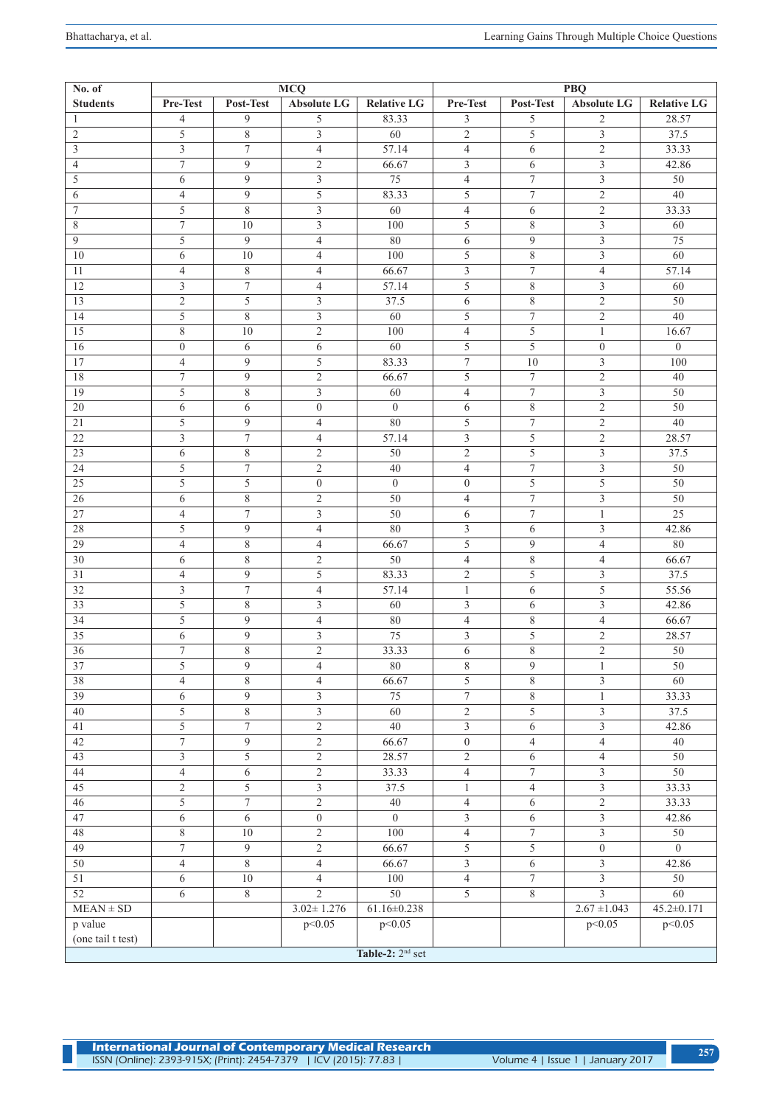| 5<br>6            | 6<br>4              | 9<br>9                   | 3<br>5                           | 75<br>83.33              | 4<br>5                           | 7<br>$\tau$              | 3<br>$\mathfrak{2}$              | 50<br>40             |  |
|-------------------|---------------------|--------------------------|----------------------------------|--------------------------|----------------------------------|--------------------------|----------------------------------|----------------------|--|
| $\overline{7}$    | 5                   | 8                        | $\overline{3}$                   | 60                       | $\overline{4}$                   | 6                        | $\overline{2}$                   | 33.33                |  |
| $\,$ 8 $\,$       | $\tau$              | 10                       | $\overline{3}$                   | 100                      | $\overline{5}$                   | 8                        | $\mathfrak{Z}$                   | 60                   |  |
| 9                 | $\overline{5}$      | $\overline{9}$           | $\overline{4}$                   | 80                       | $\overline{6}$                   | $\overline{9}$           | $\overline{\mathbf{3}}$          | $\overline{75}$      |  |
| 10                | 6                   | 10                       | 4                                | 100                      | $\overline{5}$                   | $\overline{8}$           | $\overline{\mathbf{3}}$          | 60                   |  |
| 11                | 4                   | 8                        | 4                                | 66.67                    | $\overline{\overline{3}}$        | $\boldsymbol{7}$         | $\overline{4}$                   | 57.14                |  |
| 12                | 3                   | $\tau$                   | $\overline{4}$                   | 57.14                    | 5                                | $\,$ 8 $\,$              | $\mathfrak{Z}$                   | 60                   |  |
| 13                | $\overline{c}$      | 5                        | 3                                | 37.5                     | 6                                | $\,$ 8 $\,$              | $\mathfrak{2}$                   | $50\,$               |  |
| 14                | 5                   | 8                        | $\mathfrak{Z}$                   | 60                       | $\overline{5}$                   | $\boldsymbol{7}$         | $\sqrt{2}$                       | $\overline{40}$      |  |
| 15                | 8                   | 10                       | $\mathfrak{2}$                   | 100                      | $\overline{4}$                   | 5                        | $\mathbf{1}$                     | 16.67                |  |
| 16                | $\boldsymbol{0}$    | 6                        | 6                                | $\overline{60}$          | 5                                | 5                        | $\boldsymbol{0}$                 | $\boldsymbol{0}$     |  |
| 17                | $\overline{4}$      | $\overline{9}$           | 5                                | 83.33                    | $\tau$                           | 10                       | $\overline{\mathbf{3}}$          | 100                  |  |
| 18                | 7                   | 9                        | $\overline{2}$                   | 66.67                    | 5                                | $\tau$                   | $\sqrt{2}$                       | 40                   |  |
| 19                | 5                   | 8                        | $\overline{3}$                   | 60                       | $\overline{4}$                   | $\boldsymbol{7}$         | $\mathfrak{Z}$                   | 50                   |  |
| 20                | 6                   | 6                        | $\boldsymbol{0}$                 | $\mathbf{0}$             | 6                                | $\,$ 8 $\,$              | $\overline{2}$                   | $\overline{50}$      |  |
| 21                | 5                   | $\overline{9}$           | 4                                | $\overline{80}$          | $\overline{5}$                   | $\overline{7}$           | $\overline{2}$                   | 40                   |  |
| 22                | $\mathfrak{Z}$      | $\tau$                   | $\overline{4}$                   | 57.14                    |                                  | $\overline{5}$           | $\sqrt{2}$                       | 28.57                |  |
| 23                | 6                   | $\overline{8}$           | $\mathfrak{2}$                   | $\overline{50}$          | $\overline{2}$                   | $\overline{5}$           | $\overline{\mathbf{3}}$          | 37.5                 |  |
| 24                | 5                   | $\boldsymbol{7}$         | $\overline{c}$                   | 40                       | $\overline{4}$                   | $\overline{7}$           | $\overline{\mathbf{3}}$          | $\overline{50}$      |  |
| 25                | 5                   | 5                        | $\boldsymbol{0}$                 | $\boldsymbol{0}$         | $\boldsymbol{0}$                 | 5                        | 5                                | $\overline{50}$      |  |
| 26                | 6                   | 8                        | $\overline{c}$                   | $\overline{50}$          | $\overline{4}$                   | $\boldsymbol{7}$         | $\mathfrak{Z}$                   | $\overline{50}$      |  |
| 27                | 4                   | $\overline{7}$           | 3                                | $\overline{50}$          | 6                                | $\boldsymbol{7}$         | $\mathbf{1}$                     | $\overline{25}$      |  |
| 28                | 5                   | 9                        | $\overline{4}$                   | 80                       | $\mathfrak{Z}$                   | 6                        | 3                                | 42.86                |  |
| 29                | $\overline{4}$      | 8                        | $\overline{4}$                   | 66.67                    | 5                                | $\overline{9}$           | $\overline{4}$                   | 80                   |  |
| 30                | 6                   | 8                        | $\mathfrak{2}$                   | $\overline{50}$          | $\overline{4}$                   | $\,$ 8 $\,$              | $\overline{4}$                   | 66.67                |  |
| 31                | 4                   | $\overline{9}$           | 5                                | 83.33                    | $\mathbf{2}$                     | $\overline{5}$           | $\overline{3}$                   | 37.5                 |  |
| 32                | 3                   | $\overline{7}$           | $\overline{4}$                   | 57.14                    | $\mathbf{1}$                     | 6                        | 5                                | 55.56                |  |
| 33                | 5                   | 8                        | $\overline{3}$                   | 60                       | $\mathfrak{Z}$                   | 6                        | $\mathfrak{Z}$                   | 42.86                |  |
| 34                | $\overline{5}$      | 9                        | $\overline{4}$                   | 80                       | $\overline{4}$                   | 8                        | $\overline{4}$                   | 66.67                |  |
| 35                | 6                   | 9                        | $\overline{3}$                   | $\overline{75}$          |                                  | $\overline{5}$           | $\sqrt{2}$                       | 28.57                |  |
| 36                | $\tau$              | 8                        | $\mathfrak{2}$                   | 33.33                    | 6                                | 8                        | $\sqrt{2}$                       | 50                   |  |
| 37                | 5                   | 9                        | $\overline{4}$                   | 80                       | 8                                | $\overline{9}$           | $\mathbf{1}$                     | 50                   |  |
| 38                | $\overline{4}$      | $8\,$                    | $\overline{4}$                   | 66.67                    | $\overline{5}$                   | $\,$ $\,$                | $\mathfrak z$                    | 60                   |  |
| 39                | 6                   | 9                        | 3                                | 75                       | $\overline{7}$                   | $\,$ $\,$                | $\mathbf{1}$                     | 33.33                |  |
| 40                | 5                   | 8                        | $\overline{\mathbf{3}}$          | $\overline{60}$          | $\overline{2}$                   | 5                        | $\mathfrak{Z}$                   | 37.5                 |  |
| 41                | 5                   | $\tau$                   | $\mathbf{2}$                     | $\overline{40}$          | $\overline{\mathbf{3}}$          | 6                        | 3                                | 42.86                |  |
| 42                | $\boldsymbol{7}$    | 9                        | $\mathfrak{2}$                   | 66.67                    | $\boldsymbol{0}$                 | $\overline{4}$           | $\overline{4}$                   | 40                   |  |
| 43                | 3                   | 5                        | $\mathfrak{2}$                   | 28.57                    | $\mathbf{2}$                     | 6                        | $\overline{4}$                   | $\overline{50}$      |  |
| 44                | $\overline{4}$      | $\sqrt{6}$               | $\sqrt{2}$                       | 33.33                    | $\overline{4}$                   | $\boldsymbol{7}$         | $\mathfrak{Z}$                   | $50\,$               |  |
| 45                | $\overline{2}$      | 5                        | $\overline{\mathbf{3}}$          | 37.5                     | $\mathbf{1}$                     | $\overline{4}$           |                                  | 33.33                |  |
| 46                | 5                   | $\tau$                   | $\overline{c}$                   | $40\,$<br>$\overline{0}$ | $\overline{4}$                   | $\sqrt{6}$               | $\overline{2}$                   | 33.33                |  |
| 47                | 6                   | 6                        | $\overline{0}$                   |                          | $\overline{3}$                   | 6                        | $\overline{3}$                   | 42.86                |  |
| 48                | 8<br>$\tau$         | 10<br>$\overline{9}$     | $\overline{c}$                   | 100<br>66.67             | $\overline{4}$<br>$\overline{5}$ | $\tau$<br>$\overline{5}$ | $\overline{3}$                   | 50<br>$\overline{0}$ |  |
| 49                |                     |                          | $\overline{2}$                   |                          | $\overline{\overline{3}}$        |                          | $\boldsymbol{0}$                 |                      |  |
| 50<br>51          | $\overline{4}$<br>6 | $\overline{8}$<br>$10\,$ | $\overline{4}$<br>$\overline{4}$ | 66.67<br>100             | $\overline{4}$                   | $\sqrt{6}$<br>$\tau$     | $\overline{3}$<br>$\overline{3}$ | 42.86<br>50          |  |
| 52                | 6                   | $\overline{8}$           | $\overline{2}$                   | 50                       | $\overline{5}$                   | $\overline{8}$           | $\overline{3}$                   | 60                   |  |
| $MEAN \pm SD$     |                     |                          | $3.02 \pm 1.276$                 | $61.16 \pm 0.238$        |                                  |                          | $2.67 \pm 1.043$                 | $45.2 \pm 0.171$     |  |
| p value           |                     |                          | p<0.05                           | p < 0.05                 |                                  |                          | p<0.05                           | p<0.05               |  |
| (one tail t test) |                     |                          |                                  |                          |                                  |                          |                                  |                      |  |
|                   |                     |                          |                                  | Table-2: $2nd$ set       |                                  |                          |                                  |                      |  |
|                   |                     |                          |                                  |                          |                                  |                          |                                  |                      |  |
|                   |                     |                          |                                  |                          |                                  |                          |                                  |                      |  |

**MCQ PBQ Pre-Test Post-Test Absolute LG Relative LG Pre-Test Post-Test Absolute LG Relative LG**

1 4 9 5 83.33 3 5 2 28.57 2 | 5 | 8 | 3 | 60 | 2 | 5 | 3 | 37.5 3 7 4 57.14 4 6 2 33.33 4 7 9 2 66.67 3 6 3 42.86

**No. of Students**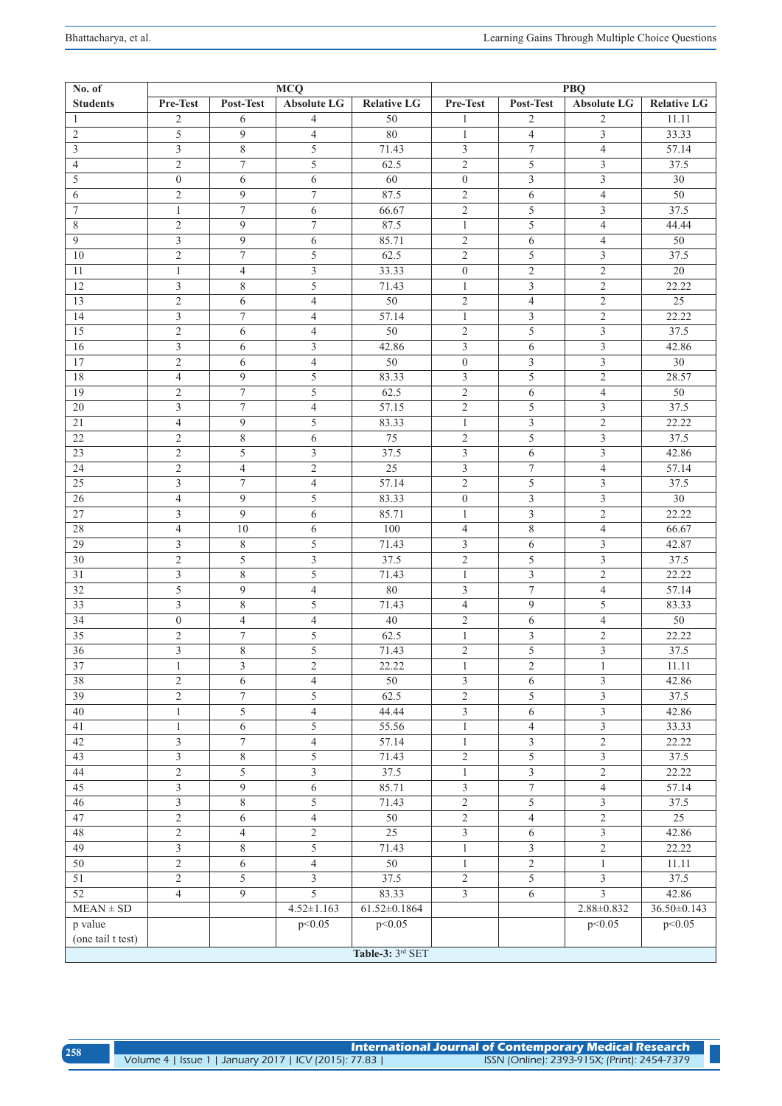| 258 |                                                       | $\,$ International Journal of Contemporary Medical Research $\,$ |
|-----|-------------------------------------------------------|------------------------------------------------------------------|
|     | Volume 4   Issue 1   January 2017   ICV (2015): 77.83 | ISSN (Online): 2393-915X; (Print): 2454-7379                     |

| No. of            | <b>MCQ</b>     |                  |                         | PBQ                |                         |                  |                         |                    |
|-------------------|----------------|------------------|-------------------------|--------------------|-------------------------|------------------|-------------------------|--------------------|
| <b>Students</b>   | Pre-Test       | Post-Test        | Absolute LG             | <b>Relative LG</b> | Pre-Test                | Post-Test        | <b>Absolute LG</b>      | <b>Relative LG</b> |
| -1                | 2              | 6                | $\overline{4}$          | 50                 | 1                       | $\overline{2}$   | 2                       | 11.11              |
| $\overline{2}$    | 5              | 9                | $\overline{4}$          | $\overline{80}$    | $\mathbf{1}$            | $\overline{4}$   | $\overline{3}$          | 33.33              |
| 3                 | $\mathfrak{Z}$ | 8                | $\overline{5}$          | 71.43              | 3                       | $\boldsymbol{7}$ | $\overline{4}$          | 57.14              |
| 4                 | $\overline{2}$ | $\tau$           | $\overline{5}$          | 62.5               | $\overline{2}$          | 5                | $\overline{\mathbf{3}}$ | 37.5               |
| 5                 | $\overline{0}$ | 6                | 6                       | 60                 | $\boldsymbol{0}$        | $\mathfrak{Z}$   | $\overline{3}$          | 30                 |
| 6                 | $\mathfrak{2}$ | 9                | $\boldsymbol{7}$        | 87.5               | $\sqrt{2}$              | 6                | $\overline{4}$          | 50                 |
| $\overline{7}$    | $\mathbf{1}$   | $\overline{7}$   | 6                       | 66.67              | $\overline{2}$          | 5                | $\overline{3}$          | 37.5               |
| 8                 | $\overline{2}$ | 9                | $\tau$                  | 87.5               | $\mathbf{1}$            | 5                | $\overline{4}$          | 44.44              |
| 9                 | $\overline{3}$ | 9                | 6                       | 85.71              | $\overline{2}$          | 6                | $\overline{4}$          | 50                 |
| 10                | $\mathfrak{2}$ | $\tau$           | 5                       | 62.5               | $\overline{2}$          | 5                | 3                       | 37.5               |
| 11                | $\mathbf{1}$   | $\overline{4}$   | 3                       | 33.33              | $\mathbf{0}$            | $\mathfrak{2}$   | $\overline{2}$          | 20                 |
| 12                | $\mathfrak{Z}$ | 8                | 5                       | 71.43              | $\mathbf{1}$            | $\mathfrak{Z}$   | $\overline{2}$          | 22.22              |
| 13                | $\sqrt{2}$     | 6                | $\overline{4}$          | 50                 | $\overline{2}$          | $\overline{4}$   | $\mathfrak{2}$          | 25                 |
| 14                | $\overline{3}$ | $\boldsymbol{7}$ | $\overline{4}$          | 57.14              | $\mathbf{1}$            | $\mathfrak{Z}$   | $\overline{c}$          | 22.22              |
| 15                | $\sqrt{2}$     | 6                | $\overline{4}$          | 50                 | $\overline{2}$          | 5                | $\overline{3}$          | 37.5               |
| 16                | $\overline{3}$ | 6                | $\overline{3}$          | 42.86              | 3                       | 6                | $\overline{3}$          | 42.86              |
| 17                | 2              | 6                | $\overline{4}$          | 50                 | $\overline{0}$          | 3                | $\overline{3}$          | 30                 |
| 18                | $\overline{4}$ | 9                | 5                       | 83.33              | $\overline{3}$          | 5                | $\overline{2}$          | 28.57              |
| $\overline{19}$   | $\overline{2}$ | $\boldsymbol{7}$ | 5                       | 62.5               | $\overline{2}$          | 6                | $\overline{4}$          | 50                 |
| 20                | $\overline{3}$ | $\tau$           | $\overline{4}$          | 57.15              | $\overline{2}$          | 5                | $\mathfrak{Z}$          | 37.5               |
| 21                | $\overline{4}$ | $\mathfrak{g}$   | 5                       | 83.33              | $\mathbf{1}$            | $\mathfrak{Z}$   | $\overline{2}$          | 22.22              |
| 22                | $\overline{2}$ | 8                | 6                       | 75                 | $\overline{2}$          | 5                | $\overline{3}$          | 37.5               |
| 23                | $\overline{2}$ | $\overline{5}$   | 3                       | 37.5               | $\overline{3}$          | 6                | $\overline{3}$          | 42.86              |
| 24                | $\overline{2}$ | 4                | $\overline{c}$          | $\overline{25}$    | $\overline{3}$          | $\tau$           | $\overline{4}$          | 57.14              |
| 25                | $\mathfrak{Z}$ | $\tau$           | 4                       | 57.14              | $\overline{2}$          | 5                | $\overline{3}$          | 37.5               |
| $26\,$            | $\overline{4}$ | 9                | 5                       | 83.33              | $\overline{0}$          | $\mathfrak{Z}$   | $\overline{3}$          | $\overline{30}$    |
| 27                | $\mathfrak{Z}$ | 9                | 6                       | 85.71              | $\mathbf{1}$            | $\mathfrak{Z}$   | $\overline{2}$          | 22.22              |
| 28                | $\overline{4}$ | 10               | 6                       | 100                | $\overline{4}$          | $\overline{8}$   | $\overline{4}$          | 66.67              |
| $\overline{29}$   | 3              | 8                | 5                       | 71.43              | $\mathfrak{Z}$          | 6                | $\overline{3}$          | 42.87              |
| 30                | $\sqrt{2}$     | $\overline{5}$   | $\overline{3}$          | 37.5               | $\overline{2}$          | 5                | $\overline{3}$          | 37.5               |
| 31                | 3              | $\,$ 8 $\,$      | 5                       | 71.43              | $\mathbf{1}$            | $\mathfrak{Z}$   | $\overline{2}$          | 22.22              |
| 32                | 5              | $\mathbf{9}$     | $\overline{4}$          | 80                 | $\mathfrak{Z}$          | $\overline{7}$   | $\overline{4}$          | 57.14              |
| 33                | $\overline{3}$ | $\,$ 8 $\,$      | 5                       | 71.43              | $\overline{4}$          | $\mathbf{Q}$     | 5                       | 83.33              |
| 34                | $\overline{0}$ | $\overline{4}$   | $\overline{4}$          | 40                 | $\overline{2}$          | 6                | $\overline{4}$          | 50                 |
| 35                | $\sqrt{2}$     | $\overline{7}$   | 5                       | 62.5               | $\mathbf{1}$            | 3                | $\overline{2}$          | 22.22              |
| 36                | 3              | 8                | 5                       | 71.43              | $\overline{2}$          | 5                | $\overline{3}$          | 37.5               |
| 37                | 1              | 3                | $\mathfrak{2}$          | 22.22              | $\mathbf{1}$            | $\overline{c}$   | 1                       | 11.11              |
| 38                | 2              | 6                | 4                       | 50                 | 3                       | 6                | $\overline{3}$          | 42.86              |
| $\overline{39}$   | $\mathfrak{2}$ | 7                | 5                       | 62.5               | $\overline{2}$          | 5                | 3                       | 37.5               |
| 40                | $\mathbf{1}$   | $\overline{5}$   | $\overline{4}$          | 44.44              |                         | 6                | $\overline{3}$          | 42.86              |
| 41                | $\mathbf{1}$   | 6                | $\overline{5}$          | 55.56              | $\mathbf{1}$            | $\overline{4}$   | $\overline{3}$          | 33.33              |
| 42                | $\overline{3}$ | $\overline{7}$   | $\overline{4}$          | 57.14              | $\mathbf{1}$            | $\overline{3}$   | $\overline{2}$          | 22.22              |
| 43                | $\mathfrak{Z}$ | $\overline{8}$   | 5                       | 71.43              | $\overline{2}$          | 5                | $\overline{\mathbf{3}}$ | $\overline{37.5}$  |
| 44                | $\sqrt{2}$     | $\overline{5}$   | $\overline{\mathbf{3}}$ | 37.5               | $\mathbf{1}$            | $\overline{3}$   | $\overline{c}$          | 22.22              |
| 45                | 3              | 9                | 6                       | 85.71              | $\overline{\mathbf{3}}$ | $\overline{7}$   | $\overline{4}$          | 57.14              |
| 46                | $\mathfrak{Z}$ | $8\,$            | $\overline{5}$          | 71.43              | $\overline{2}$          | 5                | $\overline{3}$          | 37.5               |
| 47                | $\sqrt{2}$     | 6                | $\overline{4}$          | 50                 | $\overline{2}$          | $\overline{4}$   | $\overline{2}$          | $\overline{25}$    |
| 48                | $\mathfrak{2}$ | $\overline{4}$   | $\overline{2}$          | 25                 | $\overline{3}$          | 6                | $\overline{3}$          | 42.86              |
| 49                | $\overline{3}$ | 8                | $\overline{5}$          | 71.43              | $\mathbf{1}$            | $\overline{3}$   | $\overline{2}$          | 22.22              |
| 50                | $\overline{2}$ | 6                | $\overline{4}$          | 50                 | $\mathbf{1}$            | $\overline{2}$   | $\mathbf{1}$            | 11.11              |
| 51                | $\sqrt{2}$     | 5                | $\mathfrak{Z}$          | 37.5               | $\overline{2}$          | 5                | 3                       | 37.5               |
| 52                | $\overline{4}$ | 9                | 5                       | 83.33              | $\mathfrak{Z}$          | 6                | $\overline{3}$          | 42.86              |
| $MEAN \pm SD$     |                |                  | $4.52 \pm 1.163$        | $61.52 \pm 0.1864$ |                         |                  | $2.88 \pm 0.832$        | $36.50 \pm 0.143$  |
| p value           |                |                  | p<0.05                  | p < 0.05           |                         |                  | p<0.05                  | p<0.05             |
| (one tail t test) |                |                  |                         |                    |                         |                  |                         |                    |
|                   |                |                  |                         | Table-3: 3rd SET   |                         |                  |                         |                    |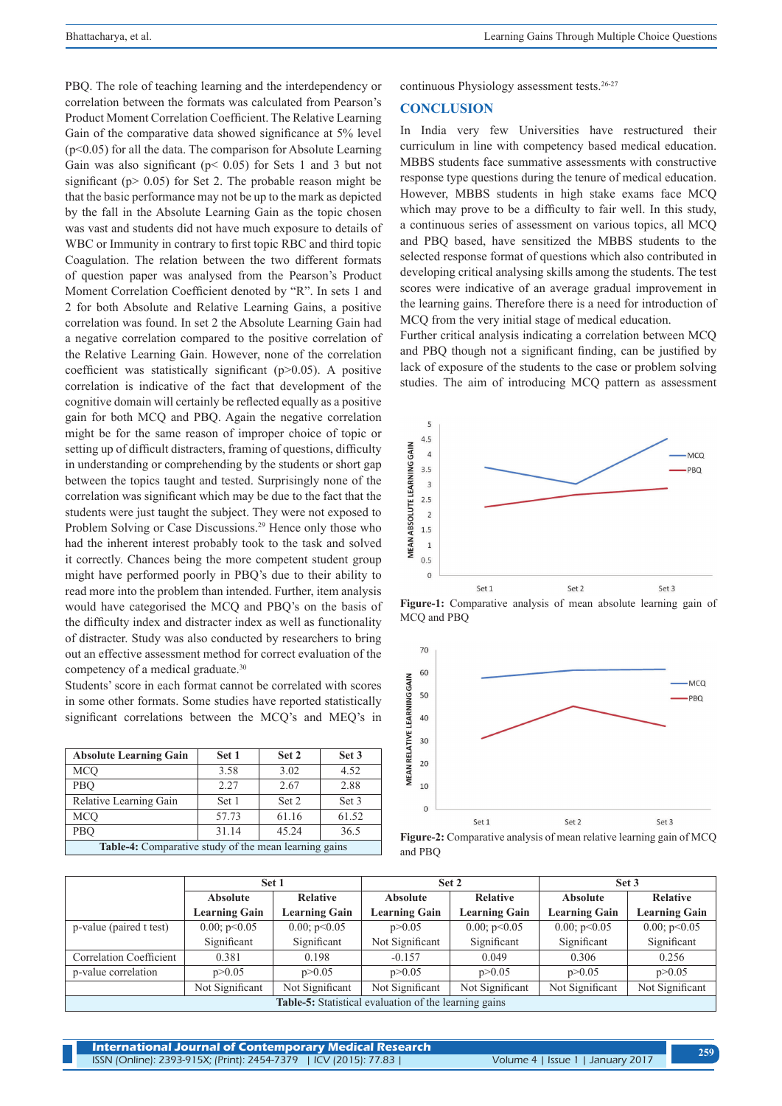PBQ. The role of teaching learning and the interdependency or correlation between the formats was calculated from Pearson's Product Moment Correlation Coefficient. The Relative Learning Gain of the comparative data showed significance at 5% level (p<0.05) for all the data. The comparison for Absolute Learning Gain was also significant (p< 0.05) for Sets 1 and 3 but not significant ( $p > 0.05$ ) for Set 2. The probable reason might be that the basic performance may not be up to the mark as depicted by the fall in the Absolute Learning Gain as the topic chosen was vast and students did not have much exposure to details of WBC or Immunity in contrary to first topic RBC and third topic Coagulation. The relation between the two different formats of question paper was analysed from the Pearson's Product Moment Correlation Coefficient denoted by "R". In sets 1 and 2 for both Absolute and Relative Learning Gains, a positive correlation was found. In set 2 the Absolute Learning Gain had a negative correlation compared to the positive correlation of the Relative Learning Gain. However, none of the correlation coefficient was statistically significant  $(p>0.05)$ . A positive correlation is indicative of the fact that development of the cognitive domain will certainly be reflected equally as a positive gain for both MCQ and PBQ. Again the negative correlation might be for the same reason of improper choice of topic or setting up of difficult distracters, framing of questions, difficulty in understanding or comprehending by the students or short gap between the topics taught and tested. Surprisingly none of the correlation was significant which may be due to the fact that the students were just taught the subject. They were not exposed to Problem Solving or Case Discussions.<sup>29</sup> Hence only those who had the inherent interest probably took to the task and solved it correctly. Chances being the more competent student group might have performed poorly in PBQ's due to their ability to read more into the problem than intended. Further, item analysis would have categorised the MCQ and PBQ's on the basis of the difficulty index and distracter index as well as functionality of distracter. Study was also conducted by researchers to bring out an effective assessment method for correct evaluation of the competency of a medical graduate.<sup>30</sup>

Students' score in each format cannot be correlated with scores in some other formats. Some studies have reported statistically significant correlations between the MCQ's and MEQ's in

| <b>Absolute Learning Gain</b>                         | Set 1 | Set 2 | Set 3 |  |  |  |
|-------------------------------------------------------|-------|-------|-------|--|--|--|
| MCO                                                   | 3.58  | 3.02  | 4.52  |  |  |  |
| PBO                                                   | 2.27  | 2.67  | 2.88  |  |  |  |
| Relative Learning Gain                                | Set 1 | Set 2 | Set 3 |  |  |  |
| <b>MCO</b>                                            | 57.73 | 61.16 | 61.52 |  |  |  |
| PBO                                                   | 31.14 | 45.24 | 36.5  |  |  |  |
| Table-4: Comparative study of the mean learning gains |       |       |       |  |  |  |

continuous Physiology assessment tests.<sup>26-27</sup>

# **CONCLUSION**

In India very few Universities have restructured their curriculum in line with competency based medical education. MBBS students face summative assessments with constructive response type questions during the tenure of medical education. However, MBBS students in high stake exams face MCQ which may prove to be a difficulty to fair well. In this study, a continuous series of assessment on various topics, all MCQ and PBQ based, have sensitized the MBBS students to the selected response format of questions which also contributed in developing critical analysing skills among the students. The test scores were indicative of an average gradual improvement in the learning gains. Therefore there is a need for introduction of MCQ from the very initial stage of medical education.

Further critical analysis indicating a correlation between MCQ and PBQ though not a significant finding, can be justified by lack of exposure of the students to the case or problem solving studies. The aim of introducing MCQ pattern as assessment



**Figure-1:** Comparative analysis of mean absolute learning gain of MCQ and PBQ



**Figure-2:** Comparative analysis of mean relative learning gain of MCQ and PBQ

|                                                              | Set 1                |                      |                      | Set 2                | Set 3                |                      |  |  |
|--------------------------------------------------------------|----------------------|----------------------|----------------------|----------------------|----------------------|----------------------|--|--|
|                                                              | <b>Absolute</b>      | <b>Relative</b>      | <b>Absolute</b>      | <b>Relative</b>      | <b>Absolute</b>      | <b>Relative</b>      |  |  |
|                                                              | <b>Learning Gain</b> | <b>Learning Gain</b> | <b>Learning Gain</b> | <b>Learning Gain</b> | <b>Learning Gain</b> | <b>Learning Gain</b> |  |  |
| p-value (paired t test)                                      | 0.00; p<0.05         | 0.00; p<0.05         | p > 0.05             | 0.00; p<0.05         | 0.00; p<0.05         | 0.00; p<0.05         |  |  |
|                                                              | Significant          | Significant          | Not Significant      | Significant          | Significant          | Significant          |  |  |
| <b>Correlation Coefficient</b>                               | 0.381                | 0.198                | $-0.157$             | 0.049                | 0.306                | 0.256                |  |  |
| p-value correlation                                          | p > 0.05             | p > 0.05             | p > 0.05             | p > 0.05             | p > 0.05             | p > 0.05             |  |  |
|                                                              | Not Significant      | Not Significant      | Not Significant      | Not Significant      | Not Significant      | Not Significant      |  |  |
| <b>Table-5:</b> Statistical evaluation of the learning gains |                      |                      |                      |                      |                      |                      |  |  |